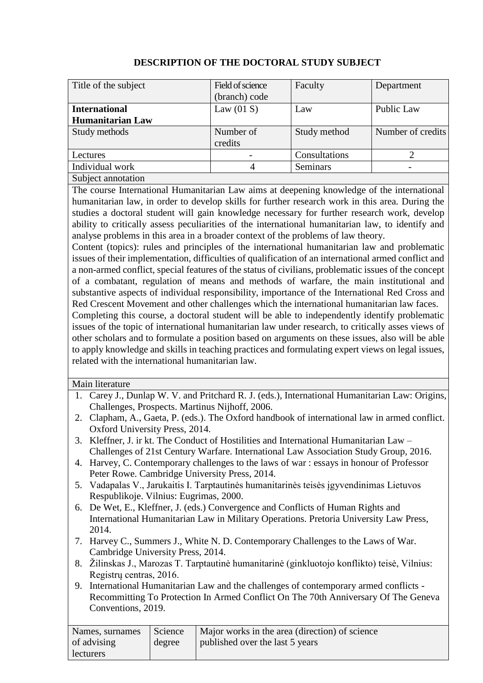| Title of the subject    | Field of science | Faculty         | Department        |
|-------------------------|------------------|-----------------|-------------------|
|                         | (branch) code    |                 |                   |
| <b>International</b>    | Law $(01 S)$     | Law             | Public Law        |
| <b>Humanitarian Law</b> |                  |                 |                   |
| Study methods           | Number of        | Study method    | Number of credits |
|                         | credits          |                 |                   |
| Lectures                |                  | Consultations   |                   |
| Individual work         | 4                | <b>Seminars</b> |                   |
| Subject annotation      |                  |                 |                   |

## **DESCRIPTION OF THE DOCTORAL STUDY SUBJECT**

The course International Humanitarian Law aims at deepening knowledge of the international humanitarian law, in order to develop skills for further research work in this area. During the studies a doctoral student will gain knowledge necessary for further research work, develop ability to critically assess peculiarities of the international humanitarian law, to identify and analyse problems in this area in a broader context of the problems of law theory.

Content (topics): rules and principles of the international humanitarian law and problematic issues of their implementation, difficulties of qualification of an international armed conflict and a non-armed conflict, special features of the status of civilians, problematic issues of the concept of a combatant, regulation of means and methods of warfare, the main institutional and substantive aspects of individual responsibility, importance of the International Red Cross and Red Crescent Movement and other challenges which the international humanitarian law faces.

Completing this course, a doctoral student will be able to independently identify problematic issues of the topic of international humanitarian law under research, to critically asses views of other scholars and to formulate a position based on arguments on these issues, also will be able to apply knowledge and skills in teaching practices and formulating expert views on legal issues, related with the international humanitarian law.

Main literature

- 1. Carey J., Dunlap W. V. and Pritchard R. J. (eds.), International Humanitarian Law: Origins, Challenges, Prospects. Martinus Nijhoff, 2006.
- 2. Clapham, A., Gaeta, P. (eds.). The Oxford handbook of international law in armed conflict. Oxford University Press, 2014.
- 3. Kleffner, J. ir kt. The Conduct of Hostilities and International Humanitarian Law Challenges of 21st Century Warfare. International Law Association Study Group, 2016.
- 4. Harvey, C. Contemporary challenges to the laws of war : essays in honour of Professor Peter Rowe. Cambridge University Press, 2014.
- 5. Vadapalas V., Jarukaitis I. Tarptautinės humanitarinės teisės įgyvendinimas Lietuvos Respublikoje. Vilnius: Eugrimas, 2000.
- 6. De Wet, E., Kleffner, J. (eds.) Convergence and Conflicts of Human Rights and International Humanitarian Law in Military Operations. Pretoria University Law Press, 2014.
- 7. Harvey C., Summers J., White N. D. Contemporary Challenges to the Laws of War. Cambridge University Press, 2014.
- 8. Žilinskas J., Marozas T. Tarptautinė humanitarinė (ginkluotojo konflikto) teisė, Vilnius: Registrų centras, 2016.
- 9. International Humanitarian Law and the challenges of contemporary armed conflicts Recommitting To Protection In Armed Conflict On The 70th Anniversary Of The Geneva Conventions, 2019.

| Names, surnames | Science | Major works in the area (direction) of science |
|-----------------|---------|------------------------------------------------|
| of advising     | degree  | published over the last 5 years                |
| lecturers       |         |                                                |